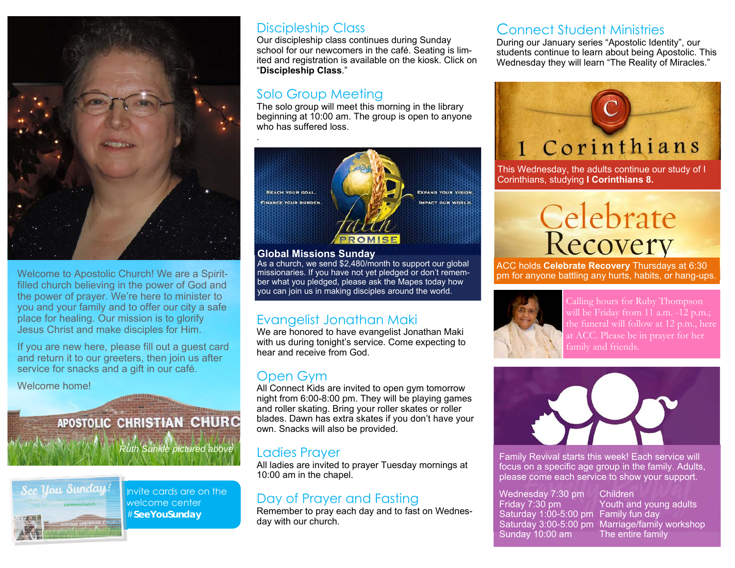

Welcome to Apostolic Church! We are a Spiritfilled church believing in the power of God and the power of prayer. We're here to minister to you and your family and to offer our city a safe place for healing. Our mission is to glorify Jesus Christ and make disciples for Him.

If you are new here, please fill out a guest card and return it to our greeters, then join us after service for snacks and a gift in our café.

Welcome home!

# APOSTOLIC CHRISTIAN CHURC



Invite cards are on the welcome center #**SeeYouSunday** 

*Ruth Sunkle pictured above* 

#### Discipleship Class

Our discipleship class continues during Sunday school for our newcomers in the café. Seating is limited and registration is available on the kiosk. Click on "**Discipleship Class**."

#### Solo Group Meeting

.

The solo group will meet this morning in the library beginning at 10:00 am. The group is open to anyone who has suffered loss.



**Global Missions Sunday** 

As a church, we send \$2,480/month to support our global missionaries. If you have not yet pledged or don't remember what you pledged, please ask the Mapes today how you can join us in making disciples around the world.

#### Evangelist Jonathan Maki

We are honored to have evangelist Jonathan Maki with us during tonight's service. Come expecting to hear and receive from God.

#### Open Gym

All Connect Kids are invited to open gym tomorrow night from 6:00-8:00 pm. They will be playing games and roller skating. Bring your roller skates or roller blades. Dawn has extra skates if you don't have your own. Snacks will also be provided.

#### Ladies Prayer

All ladies are invited to prayer Tuesday mornings at 10:00 am in the chapel.

#### Day of Prayer and Fasting

Remember to pray each day and to fast on Wednesday with our church.

#### Connect Student Ministries

During our January series "Apostolic Identity", our students continue to learn about being Apostolic. This Wednesday they will learn "The Reality of Miracles."



This Wednesday, the adults continue our study of I Corinthians, studying **I Corinthians 8.**



ACC holds **Celebrate Recovery** Thursdays at 6:30 pm for anyone battling any hurts, habits, or hang-ups.



at ACC. Please be in prayer for her family and friends.



Family Revival starts this week! Each service will focus on a specific age group in the family. Adults, please come each service to show your support.

Wednesday 7:30 pm Children Saturday 1:00-5:00 pm Family fun day Saturday 3:00-5:00 pm Marriage/family workshop Sunday  $10:00$  am  $\blacksquare$ 

Youth and young adults